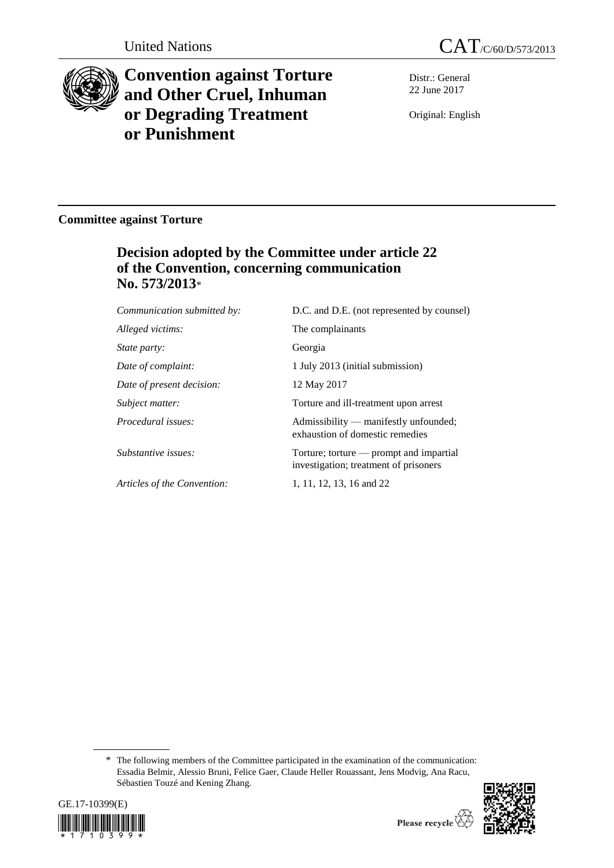



# **Convention against Torture and Other Cruel, Inhuman or Degrading Treatment or Punishment**

Distr.: General 22 June 2017

Original: English

# **Committee against Torture**

# **Decision adopted by the Committee under article 22 of the Convention, concerning communication No. 573/2013**\*

*Communication submitted by:* D.C. and D.E. (not represented by counsel) *Alleged victims:* The complainants *State party:* Georgia *Date of complaint:* 1 July 2013 (initial submission) *Date of present decision:* 12 May 2017 *Subject matter:* Torture and ill-treatment upon arrest *Procedural issues:* Admissibility — manifestly unfounded; exhaustion of domestic remedies *Substantive issues:* Torture; torture — prompt and impartial investigation; treatment of prisoners *Articles of the Convention:* 1, 11, 12, 13, 16 and 22

\* The following members of the Committee participated in the examination of the communication: Essadia Belmir, Alessio Bruni, Felice Gaer, Claude Heller Rouassant, Jens Modvig, Ana Racu, Sébastien Touzé and Kening Zhang.



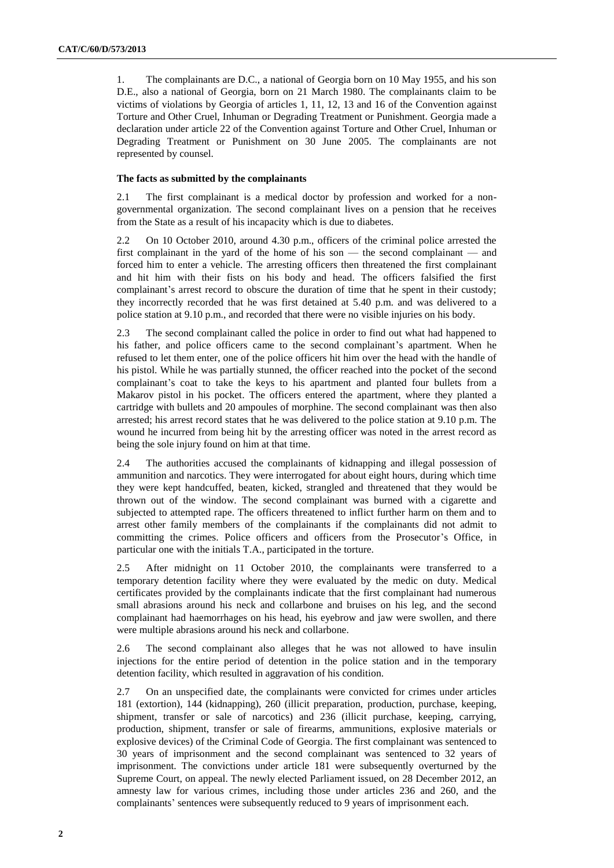1. The complainants are D.C., a national of Georgia born on 10 May 1955, and his son D.E., also a national of Georgia, born on 21 March 1980. The complainants claim to be victims of violations by Georgia of articles 1, 11, 12, 13 and 16 of the Convention against Torture and Other Cruel, Inhuman or Degrading Treatment or Punishment. Georgia made a declaration under article 22 of the Convention against Torture and Other Cruel, Inhuman or Degrading Treatment or Punishment on 30 June 2005. The complainants are not represented by counsel.

# **The facts as submitted by the complainants**

2.1 The first complainant is a medical doctor by profession and worked for a nongovernmental organization. The second complainant lives on a pension that he receives from the State as a result of his incapacity which is due to diabetes.

2.2 On 10 October 2010, around 4.30 p.m., officers of the criminal police arrested the first complainant in the yard of the home of his son — the second complainant — and forced him to enter a vehicle. The arresting officers then threatened the first complainant and hit him with their fists on his body and head. The officers falsified the first complainant's arrest record to obscure the duration of time that he spent in their custody; they incorrectly recorded that he was first detained at 5.40 p.m. and was delivered to a police station at 9.10 p.m., and recorded that there were no visible injuries on his body.

2.3 The second complainant called the police in order to find out what had happened to his father, and police officers came to the second complainant's apartment. When he refused to let them enter, one of the police officers hit him over the head with the handle of his pistol. While he was partially stunned, the officer reached into the pocket of the second complainant's coat to take the keys to his apartment and planted four bullets from a Makarov pistol in his pocket. The officers entered the apartment, where they planted a cartridge with bullets and 20 ampoules of morphine. The second complainant was then also arrested; his arrest record states that he was delivered to the police station at 9.10 p.m. The wound he incurred from being hit by the arresting officer was noted in the arrest record as being the sole injury found on him at that time.

2.4 The authorities accused the complainants of kidnapping and illegal possession of ammunition and narcotics. They were interrogated for about eight hours, during which time they were kept handcuffed, beaten, kicked, strangled and threatened that they would be thrown out of the window. The second complainant was burned with a cigarette and subjected to attempted rape. The officers threatened to inflict further harm on them and to arrest other family members of the complainants if the complainants did not admit to committing the crimes. Police officers and officers from the Prosecutor's Office, in particular one with the initials T.A., participated in the torture.

2.5 After midnight on 11 October 2010, the complainants were transferred to a temporary detention facility where they were evaluated by the medic on duty. Medical certificates provided by the complainants indicate that the first complainant had numerous small abrasions around his neck and collarbone and bruises on his leg, and the second complainant had haemorrhages on his head, his eyebrow and jaw were swollen, and there were multiple abrasions around his neck and collarbone.

2.6 The second complainant also alleges that he was not allowed to have insulin injections for the entire period of detention in the police station and in the temporary detention facility, which resulted in aggravation of his condition.

2.7 On an unspecified date, the complainants were convicted for crimes under articles 181 (extortion), 144 (kidnapping), 260 (illicit preparation, production, purchase, keeping, shipment, transfer or sale of narcotics) and 236 (illicit purchase, keeping, carrying, production, shipment, transfer or sale of firearms, ammunitions, explosive materials or explosive devices) of the Criminal Code of Georgia. The first complainant was sentenced to 30 years of imprisonment and the second complainant was sentenced to 32 years of imprisonment. The convictions under article 181 were subsequently overturned by the Supreme Court, on appeal. The newly elected Parliament issued, on 28 December 2012, an amnesty law for various crimes, including those under articles 236 and 260, and the complainants' sentences were subsequently reduced to 9 years of imprisonment each.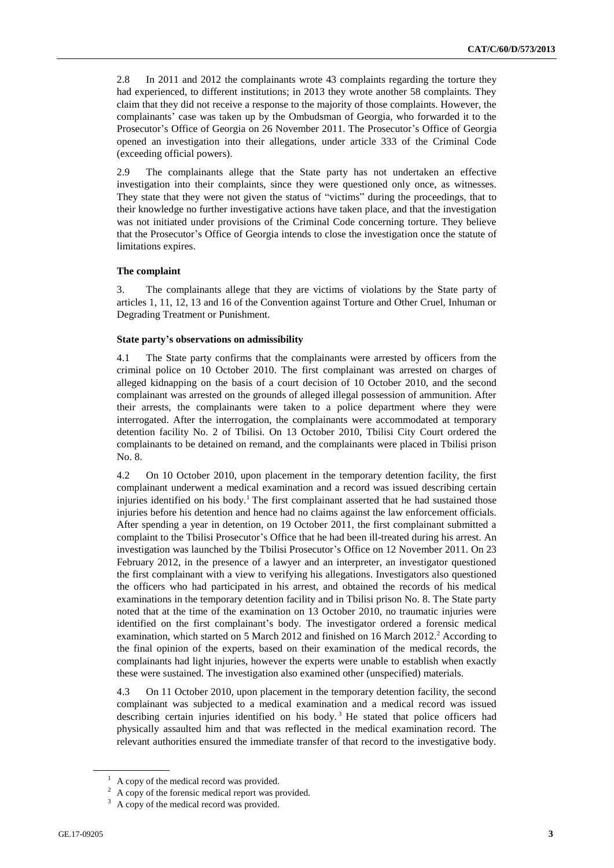2.8 In 2011 and 2012 the complainants wrote 43 complaints regarding the torture they had experienced, to different institutions; in 2013 they wrote another 58 complaints. They claim that they did not receive a response to the majority of those complaints. However, the complainants' case was taken up by the Ombudsman of Georgia, who forwarded it to the Prosecutor's Office of Georgia on 26 November 2011. The Prosecutor's Office of Georgia opened an investigation into their allegations, under article 333 of the Criminal Code (exceeding official powers).

2.9 The complainants allege that the State party has not undertaken an effective investigation into their complaints, since they were questioned only once, as witnesses. They state that they were not given the status of "victims" during the proceedings, that to their knowledge no further investigative actions have taken place, and that the investigation was not initiated under provisions of the Criminal Code concerning torture. They believe that the Prosecutor's Office of Georgia intends to close the investigation once the statute of limitations expires.

# **The complaint**

3. The complainants allege that they are victims of violations by the State party of articles 1, 11, 12, 13 and 16 of the Convention against Torture and Other Cruel, Inhuman or Degrading Treatment or Punishment.

#### **State party's observations on admissibility**

4.1 The State party confirms that the complainants were arrested by officers from the criminal police on 10 October 2010. The first complainant was arrested on charges of alleged kidnapping on the basis of a court decision of 10 October 2010, and the second complainant was arrested on the grounds of alleged illegal possession of ammunition. After their arrests, the complainants were taken to a police department where they were interrogated. After the interrogation, the complainants were accommodated at temporary detention facility No. 2 of Tbilisi. On 13 October 2010, Tbilisi City Court ordered the complainants to be detained on remand, and the complainants were placed in Tbilisi prison No. 8.

4.2 On 10 October 2010, upon placement in the temporary detention facility, the first complainant underwent a medical examination and a record was issued describing certain injuries identified on his body.<sup>1</sup> The first complainant asserted that he had sustained those injuries before his detention and hence had no claims against the law enforcement officials. After spending a year in detention, on 19 October 2011, the first complainant submitted a complaint to the Tbilisi Prosecutor's Office that he had been ill-treated during his arrest. An investigation was launched by the Tbilisi Prosecutor's Office on 12 November 2011. On 23 February 2012, in the presence of a lawyer and an interpreter, an investigator questioned the first complainant with a view to verifying his allegations. Investigators also questioned the officers who had participated in his arrest, and obtained the records of his medical examinations in the temporary detention facility and in Tbilisi prison No. 8. The State party noted that at the time of the examination on 13 October 2010, no traumatic injuries were identified on the first complainant's body. The investigator ordered a forensic medical examination, which started on 5 March 2012 and finished on 16 March 2012.<sup>2</sup> According to the final opinion of the experts, based on their examination of the medical records, the complainants had light injuries, however the experts were unable to establish when exactly these were sustained. The investigation also examined other (unspecified) materials.

4.3 On 11 October 2010, upon placement in the temporary detention facility, the second complainant was subjected to a medical examination and a medical record was issued describing certain injuries identified on his body.<sup>3</sup> He stated that police officers had physically assaulted him and that was reflected in the medical examination record. The relevant authorities ensured the immediate transfer of that record to the investigative body.

 $1$  A copy of the medical record was provided.

<sup>&</sup>lt;sup>2</sup> A copy of the forensic medical report was provided.

A copy of the medical record was provided.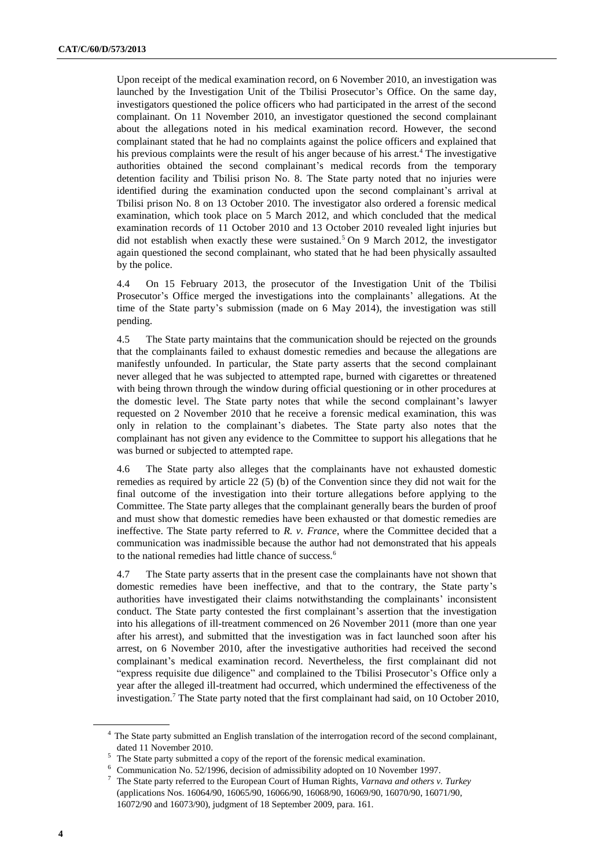Upon receipt of the medical examination record, on 6 November 2010, an investigation was launched by the Investigation Unit of the Tbilisi Prosecutor's Office. On the same day, investigators questioned the police officers who had participated in the arrest of the second complainant. On 11 November 2010, an investigator questioned the second complainant about the allegations noted in his medical examination record. However, the second complainant stated that he had no complaints against the police officers and explained that his previous complaints were the result of his anger because of his arrest.<sup>4</sup> The investigative authorities obtained the second complainant's medical records from the temporary detention facility and Tbilisi prison No. 8. The State party noted that no injuries were identified during the examination conducted upon the second complainant's arrival at Tbilisi prison No. 8 on 13 October 2010. The investigator also ordered a forensic medical examination, which took place on 5 March 2012, and which concluded that the medical examination records of 11 October 2010 and 13 October 2010 revealed light injuries but did not establish when exactly these were sustained.<sup>5</sup> On 9 March 2012, the investigator again questioned the second complainant, who stated that he had been physically assaulted by the police.

4.4 On 15 February 2013, the prosecutor of the Investigation Unit of the Tbilisi Prosecutor's Office merged the investigations into the complainants' allegations. At the time of the State party's submission (made on 6 May 2014), the investigation was still pending.

4.5 The State party maintains that the communication should be rejected on the grounds that the complainants failed to exhaust domestic remedies and because the allegations are manifestly unfounded. In particular, the State party asserts that the second complainant never alleged that he was subjected to attempted rape, burned with cigarettes or threatened with being thrown through the window during official questioning or in other procedures at the domestic level. The State party notes that while the second complainant's lawyer requested on 2 November 2010 that he receive a forensic medical examination, this was only in relation to the complainant's diabetes. The State party also notes that the complainant has not given any evidence to the Committee to support his allegations that he was burned or subjected to attempted rape.

4.6 The State party also alleges that the complainants have not exhausted domestic remedies as required by article 22 (5) (b) of the Convention since they did not wait for the final outcome of the investigation into their torture allegations before applying to the Committee. The State party alleges that the complainant generally bears the burden of proof and must show that domestic remedies have been exhausted or that domestic remedies are ineffective. The State party referred to *R. v. France*, where the Committee decided that a communication was inadmissible because the author had not demonstrated that his appeals to the national remedies had little chance of success.<sup>6</sup>

4.7 The State party asserts that in the present case the complainants have not shown that domestic remedies have been ineffective, and that to the contrary, the State party's authorities have investigated their claims notwithstanding the complainants' inconsistent conduct. The State party contested the first complainant's assertion that the investigation into his allegations of ill-treatment commenced on 26 November 2011 (more than one year after his arrest), and submitted that the investigation was in fact launched soon after his arrest, on 6 November 2010, after the investigative authorities had received the second complainant's medical examination record. Nevertheless, the first complainant did not "express requisite due diligence" and complained to the Tbilisi Prosecutor's Office only a year after the alleged ill-treatment had occurred, which undermined the effectiveness of the investigation.<sup>7</sup> The State party noted that the first complainant had said, on 10 October 2010,

<sup>&</sup>lt;sup>4</sup> The State party submitted an English translation of the interrogation record of the second complainant, dated 11 November 2010.

The State party submitted a copy of the report of the forensic medical examination.

Communication No. 52/1996, decision of admissibility adopted on 10 November 1997.

<sup>7</sup> The State party referred to the European Court of Human Rights, *Varnava and others v. Turkey* (applications Nos. [16064/90,](http://hudoc.echr.coe.int/eng#{"appno":["16064/90"]}) [16065/90,](http://hudoc.echr.coe.int/eng#{"appno":["16065/90"]}) [16066/90,](http://hudoc.echr.coe.int/eng#{"appno":["16066/90"]}) [16068/90,](http://hudoc.echr.coe.int/eng#{"appno":["16068/90"]}) [16069/90,](http://hudoc.echr.coe.int/eng#{"appno":["16069/90"]}) [16070/90,](http://hudoc.echr.coe.int/eng#{"appno":["16070/90"]}) [16071/90,](http://hudoc.echr.coe.int/eng#{"appno":["16071/90"]}) [16072/90](http://hudoc.echr.coe.int/eng#{"appno":["16072/90"]}) and [16073/90\)](http://hudoc.echr.coe.int/eng#{"appno":["16073/90"]}), judgment of 18 September 2009, para. 161.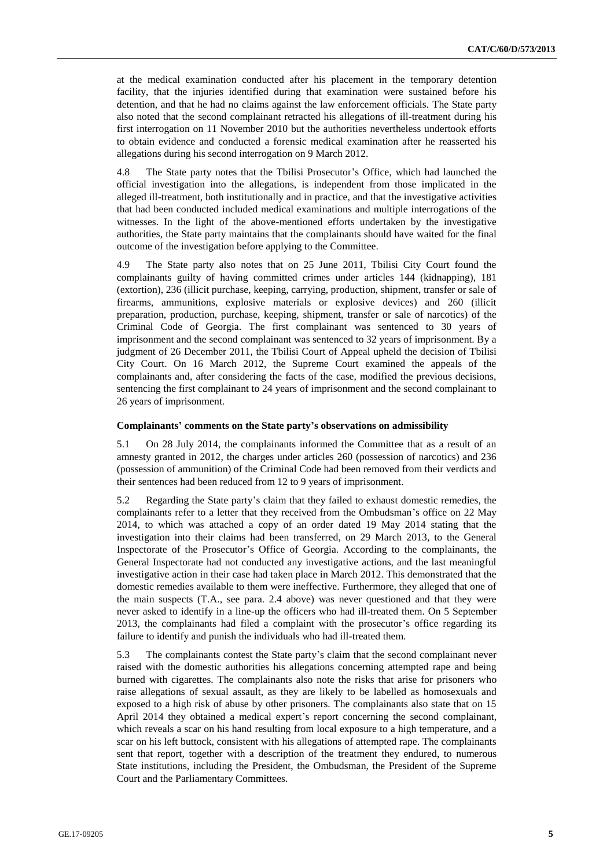at the medical examination conducted after his placement in the temporary detention facility, that the injuries identified during that examination were sustained before his detention, and that he had no claims against the law enforcement officials. The State party also noted that the second complainant retracted his allegations of ill-treatment during his first interrogation on 11 November 2010 but the authorities nevertheless undertook efforts to obtain evidence and conducted a forensic medical examination after he reasserted his allegations during his second interrogation on 9 March 2012.

4.8 The State party notes that the Tbilisi Prosecutor's Office, which had launched the official investigation into the allegations, is independent from those implicated in the alleged ill-treatment, both institutionally and in practice, and that the investigative activities that had been conducted included medical examinations and multiple interrogations of the witnesses. In the light of the above-mentioned efforts undertaken by the investigative authorities, the State party maintains that the complainants should have waited for the final outcome of the investigation before applying to the Committee.

4.9 The State party also notes that on 25 June 2011, Tbilisi City Court found the complainants guilty of having committed crimes under articles 144 (kidnapping), 181 (extortion), 236 (illicit purchase, keeping, carrying, production, shipment, transfer or sale of firearms, ammunitions, explosive materials or explosive devices) and 260 (illicit preparation, production, purchase, keeping, shipment, transfer or sale of narcotics) of the Criminal Code of Georgia. The first complainant was sentenced to 30 years of imprisonment and the second complainant was sentenced to 32 years of imprisonment. By a judgment of 26 December 2011, the Tbilisi Court of Appeal upheld the decision of Tbilisi City Court. On 16 March 2012, the Supreme Court examined the appeals of the complainants and, after considering the facts of the case, modified the previous decisions, sentencing the first complainant to 24 years of imprisonment and the second complainant to 26 years of imprisonment.

#### **Complainants' comments on the State party's observations on admissibility**

5.1 On 28 July 2014, the complainants informed the Committee that as a result of an amnesty granted in 2012, the charges under articles 260 (possession of narcotics) and 236 (possession of ammunition) of the Criminal Code had been removed from their verdicts and their sentences had been reduced from 12 to 9 years of imprisonment.

5.2 Regarding the State party's claim that they failed to exhaust domestic remedies, the complainants refer to a letter that they received from the Ombudsman's office on 22 May 2014, to which was attached a copy of an order dated 19 May 2014 stating that the investigation into their claims had been transferred, on 29 March 2013, to the General Inspectorate of the Prosecutor's Office of Georgia. According to the complainants, the General Inspectorate had not conducted any investigative actions, and the last meaningful investigative action in their case had taken place in March 2012. This demonstrated that the domestic remedies available to them were ineffective. Furthermore, they alleged that one of the main suspects (T.A., see para. 2.4 above) was never questioned and that they were never asked to identify in a line-up the officers who had ill-treated them. On 5 September 2013, the complainants had filed a complaint with the prosecutor's office regarding its failure to identify and punish the individuals who had ill-treated them.

5.3 The complainants contest the State party's claim that the second complainant never raised with the domestic authorities his allegations concerning attempted rape and being burned with cigarettes. The complainants also note the risks that arise for prisoners who raise allegations of sexual assault, as they are likely to be labelled as homosexuals and exposed to a high risk of abuse by other prisoners. The complainants also state that on 15 April 2014 they obtained a medical expert's report concerning the second complainant, which reveals a scar on his hand resulting from local exposure to a high temperature, and a scar on his left buttock, consistent with his allegations of attempted rape. The complainants sent that report, together with a description of the treatment they endured, to numerous State institutions, including the President, the Ombudsman, the President of the Supreme Court and the Parliamentary Committees.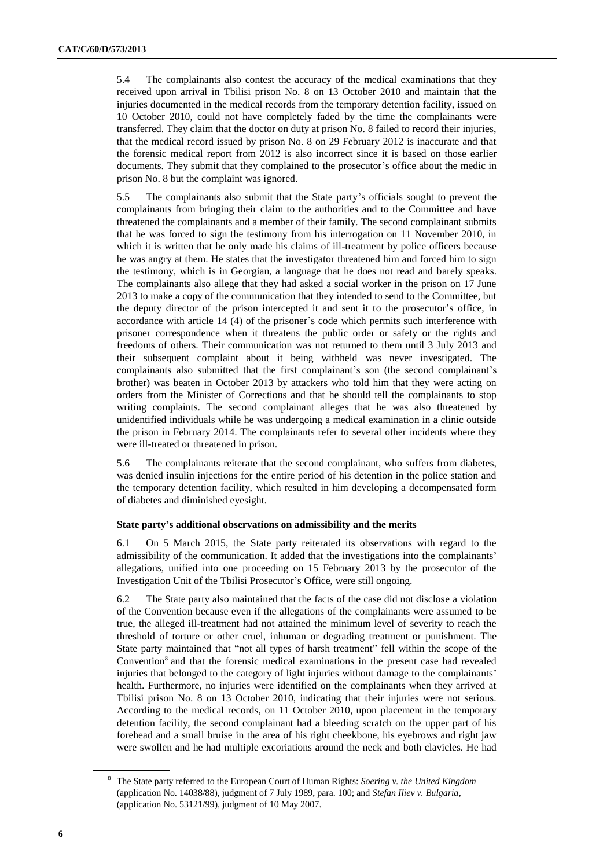5.4 The complainants also contest the accuracy of the medical examinations that they received upon arrival in Tbilisi prison No. 8 on 13 October 2010 and maintain that the injuries documented in the medical records from the temporary detention facility, issued on 10 October 2010, could not have completely faded by the time the complainants were transferred. They claim that the doctor on duty at prison No. 8 failed to record their injuries, that the medical record issued by prison No. 8 on 29 February 2012 is inaccurate and that the forensic medical report from 2012 is also incorrect since it is based on those earlier documents. They submit that they complained to the prosecutor's office about the medic in prison No. 8 but the complaint was ignored.

5.5 The complainants also submit that the State party's officials sought to prevent the complainants from bringing their claim to the authorities and to the Committee and have threatened the complainants and a member of their family. The second complainant submits that he was forced to sign the testimony from his interrogation on 11 November 2010, in which it is written that he only made his claims of ill-treatment by police officers because he was angry at them. He states that the investigator threatened him and forced him to sign the testimony, which is in Georgian, a language that he does not read and barely speaks. The complainants also allege that they had asked a social worker in the prison on 17 June 2013 to make a copy of the communication that they intended to send to the Committee, but the deputy director of the prison intercepted it and sent it to the prosecutor's office, in accordance with article 14 (4) of the prisoner's code which permits such interference with prisoner correspondence when it threatens the public order or safety or the rights and freedoms of others. Their communication was not returned to them until 3 July 2013 and their subsequent complaint about it being withheld was never investigated. The complainants also submitted that the first complainant's son (the second complainant's brother) was beaten in October 2013 by attackers who told him that they were acting on orders from the Minister of Corrections and that he should tell the complainants to stop writing complaints. The second complainant alleges that he was also threatened by unidentified individuals while he was undergoing a medical examination in a clinic outside the prison in February 2014. The complainants refer to several other incidents where they were ill-treated or threatened in prison.

5.6 The complainants reiterate that the second complainant, who suffers from diabetes, was denied insulin injections for the entire period of his detention in the police station and the temporary detention facility, which resulted in him developing a decompensated form of diabetes and diminished eyesight.

# **State party's additional observations on admissibility and the merits**

6.1 On 5 March 2015, the State party reiterated its observations with regard to the admissibility of the communication. It added that the investigations into the complainants' allegations, unified into one proceeding on 15 February 2013 by the prosecutor of the Investigation Unit of the Tbilisi Prosecutor's Office, were still ongoing.

6.2 The State party also maintained that the facts of the case did not disclose a violation of the Convention because even if the allegations of the complainants were assumed to be true, the alleged ill-treatment had not attained the minimum level of severity to reach the threshold of torture or other cruel, inhuman or degrading treatment or punishment. The State party maintained that "not all types of harsh treatment" fell within the scope of the Convention<sup>8</sup> and that the forensic medical examinations in the present case had revealed injuries that belonged to the category of light injuries without damage to the complainants' health. Furthermore, no injuries were identified on the complainants when they arrived at Tbilisi prison No. 8 on 13 October 2010, indicating that their injuries were not serious. According to the medical records, on 11 October 2010, upon placement in the temporary detention facility, the second complainant had a bleeding scratch on the upper part of his forehead and a small bruise in the area of his right cheekbone, his eyebrows and right jaw were swollen and he had multiple excoriations around the neck and both clavicles. He had

<sup>8</sup> The State party referred to the European Court of Human Rights: *Soering v. the United Kingdom* (application No. 14038/88), judgment of 7 July 1989, para. 100; and *Stefan Iliev v. Bulgaria*, (application No. [53121/99\)](http://hudoc.echr.coe.int/eng#{"appno":["53121/99"]}), judgment of 10 May 2007.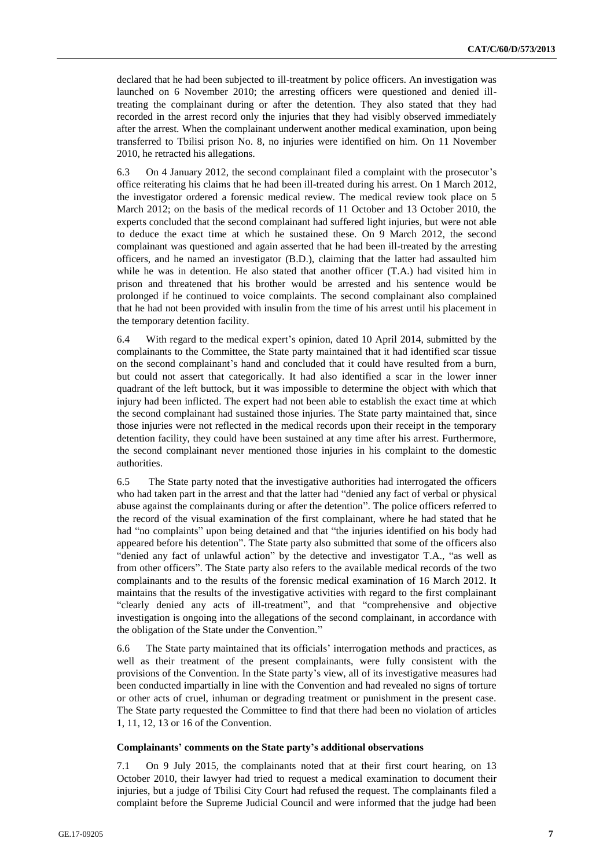declared that he had been subjected to ill-treatment by police officers. An investigation was launched on 6 November 2010; the arresting officers were questioned and denied illtreating the complainant during or after the detention. They also stated that they had recorded in the arrest record only the injuries that they had visibly observed immediately after the arrest. When the complainant underwent another medical examination, upon being transferred to Tbilisi prison No. 8, no injuries were identified on him. On 11 November 2010, he retracted his allegations.

6.3 On 4 January 2012, the second complainant filed a complaint with the prosecutor's office reiterating his claims that he had been ill-treated during his arrest. On 1 March 2012, the investigator ordered a forensic medical review. The medical review took place on 5 March 2012; on the basis of the medical records of 11 October and 13 October 2010, the experts concluded that the second complainant had suffered light injuries, but were not able to deduce the exact time at which he sustained these. On 9 March 2012, the second complainant was questioned and again asserted that he had been ill-treated by the arresting officers, and he named an investigator (B.D.), claiming that the latter had assaulted him while he was in detention. He also stated that another officer (T.A.) had visited him in prison and threatened that his brother would be arrested and his sentence would be prolonged if he continued to voice complaints. The second complainant also complained that he had not been provided with insulin from the time of his arrest until his placement in the temporary detention facility.

6.4 With regard to the medical expert's opinion, dated 10 April 2014, submitted by the complainants to the Committee, the State party maintained that it had identified scar tissue on the second complainant's hand and concluded that it could have resulted from a burn, but could not assert that categorically. It had also identified a scar in the lower inner quadrant of the left buttock, but it was impossible to determine the object with which that injury had been inflicted. The expert had not been able to establish the exact time at which the second complainant had sustained those injuries. The State party maintained that, since those injuries were not reflected in the medical records upon their receipt in the temporary detention facility, they could have been sustained at any time after his arrest. Furthermore, the second complainant never mentioned those injuries in his complaint to the domestic authorities.

6.5 The State party noted that the investigative authorities had interrogated the officers who had taken part in the arrest and that the latter had "denied any fact of verbal or physical abuse against the complainants during or after the detention". The police officers referred to the record of the visual examination of the first complainant, where he had stated that he had "no complaints" upon being detained and that "the injuries identified on his body had appeared before his detention". The State party also submitted that some of the officers also "denied any fact of unlawful action" by the detective and investigator T.A., "as well as from other officers". The State party also refers to the available medical records of the two complainants and to the results of the forensic medical examination of 16 March 2012. It maintains that the results of the investigative activities with regard to the first complainant "clearly denied any acts of ill-treatment", and that "comprehensive and objective investigation is ongoing into the allegations of the second complainant, in accordance with the obligation of the State under the Convention."

6.6 The State party maintained that its officials' interrogation methods and practices, as well as their treatment of the present complainants, were fully consistent with the provisions of the Convention. In the State party's view, all of its investigative measures had been conducted impartially in line with the Convention and had revealed no signs of torture or other acts of cruel, inhuman or degrading treatment or punishment in the present case. The State party requested the Committee to find that there had been no violation of articles 1, 11, 12, 13 or 16 of the Convention.

#### **Complainants' comments on the State party's additional observations**

7.1 On 9 July 2015, the complainants noted that at their first court hearing, on 13 October 2010, their lawyer had tried to request a medical examination to document their injuries, but a judge of Tbilisi City Court had refused the request. The complainants filed a complaint before the Supreme Judicial Council and were informed that the judge had been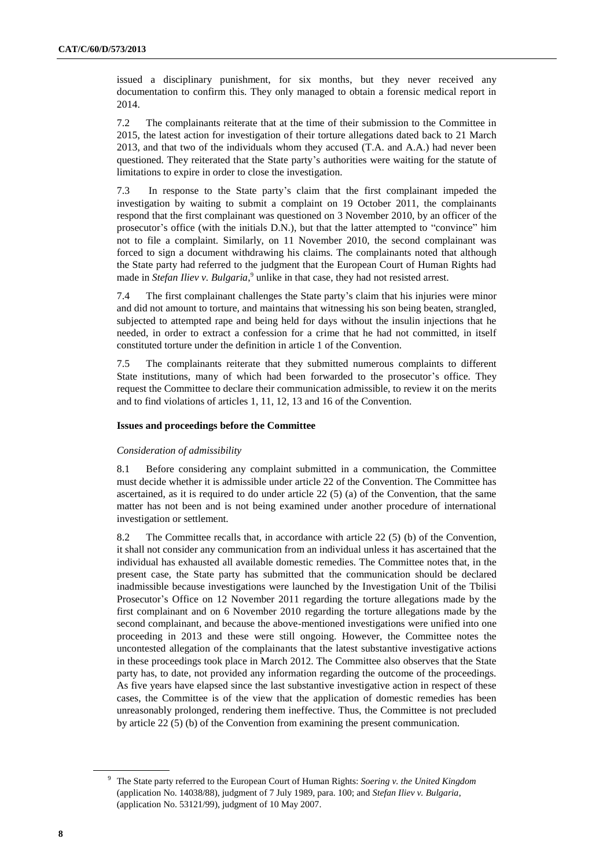issued a disciplinary punishment, for six months, but they never received any documentation to confirm this. They only managed to obtain a forensic medical report in 2014.

7.2 The complainants reiterate that at the time of their submission to the Committee in 2015, the latest action for investigation of their torture allegations dated back to 21 March 2013, and that two of the individuals whom they accused (T.A. and A.A.) had never been questioned. They reiterated that the State party's authorities were waiting for the statute of limitations to expire in order to close the investigation.

7.3 In response to the State party's claim that the first complainant impeded the investigation by waiting to submit a complaint on 19 October 2011, the complainants respond that the first complainant was questioned on 3 November 2010, by an officer of the prosecutor's office (with the initials D.N.), but that the latter attempted to "convince" him not to file a complaint. Similarly, on 11 November 2010, the second complainant was forced to sign a document withdrawing his claims. The complainants noted that although the State party had referred to the judgment that the European Court of Human Rights had made in *Stefan Iliev v. Bulgaria*,<sup>9</sup> unlike in that case, they had not resisted arrest.

7.4 The first complainant challenges the State party's claim that his injuries were minor and did not amount to torture, and maintains that witnessing his son being beaten, strangled, subjected to attempted rape and being held for days without the insulin injections that he needed, in order to extract a confession for a crime that he had not committed, in itself constituted torture under the definition in article 1 of the Convention.

7.5 The complainants reiterate that they submitted numerous complaints to different State institutions, many of which had been forwarded to the prosecutor's office. They request the Committee to declare their communication admissible, to review it on the merits and to find violations of articles 1, 11, 12, 13 and 16 of the Convention.

# **Issues and proceedings before the Committee**

# *Consideration of admissibility*

8.1 Before considering any complaint submitted in a communication, the Committee must decide whether it is admissible under article 22 of the Convention. The Committee has ascertained, as it is required to do under article  $22(5)$  (a) of the Convention, that the same matter has not been and is not being examined under another procedure of international investigation or settlement.

8.2 The Committee recalls that, in accordance with article 22 (5) (b) of the Convention, it shall not consider any communication from an individual unless it has ascertained that the individual has exhausted all available domestic remedies. The Committee notes that, in the present case, the State party has submitted that the communication should be declared inadmissible because investigations were launched by the Investigation Unit of the Tbilisi Prosecutor's Office on 12 November 2011 regarding the torture allegations made by the first complainant and on 6 November 2010 regarding the torture allegations made by the second complainant, and because the above-mentioned investigations were unified into one proceeding in 2013 and these were still ongoing. However, the Committee notes the uncontested allegation of the complainants that the latest substantive investigative actions in these proceedings took place in March 2012. The Committee also observes that the State party has, to date, not provided any information regarding the outcome of the proceedings. As five years have elapsed since the last substantive investigative action in respect of these cases, the Committee is of the view that the application of domestic remedies has been unreasonably prolonged, rendering them ineffective. Thus, the Committee is not precluded by article 22 (5) (b) of the Convention from examining the present communication.

<sup>9</sup> The State party referred to the European Court of Human Rights: *Soering v. the United Kingdom* (application No. 14038/88), judgment of 7 July 1989, para. 100; and *Stefan Iliev v. Bulgaria*, (application No. [53121/99\)](http://hudoc.echr.coe.int/eng#{"appno":["53121/99"]}), judgment of 10 May 2007.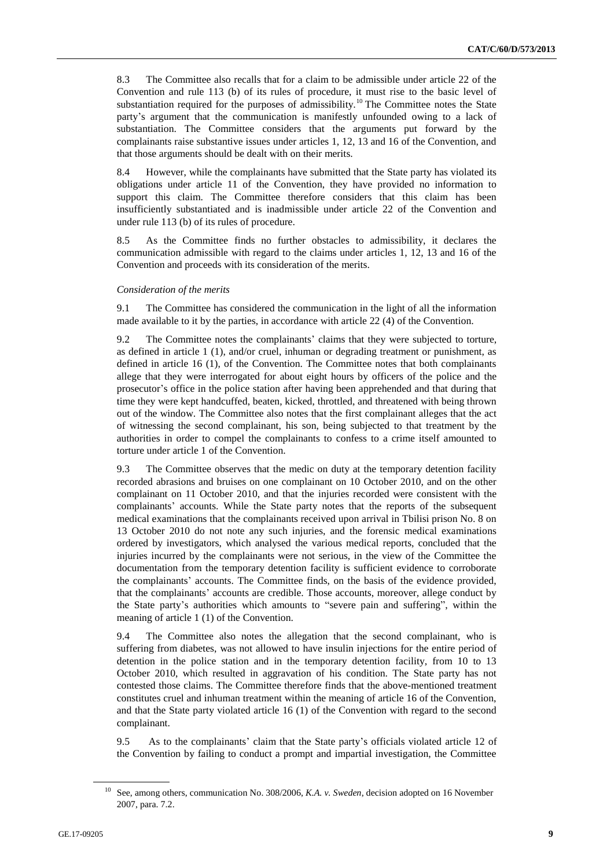8.3 The Committee also recalls that for a claim to be admissible under article 22 of the Convention and rule 113 (b) of its rules of procedure, it must rise to the basic level of substantiation required for the purposes of admissibility.<sup>10</sup> The Committee notes the State party's argument that the communication is manifestly unfounded owing to a lack of substantiation. The Committee considers that the arguments put forward by the complainants raise substantive issues under articles 1, 12, 13 and 16 of the Convention, and that those arguments should be dealt with on their merits.

8.4 However, while the complainants have submitted that the State party has violated its obligations under article 11 of the Convention, they have provided no information to support this claim. The Committee therefore considers that this claim has been insufficiently substantiated and is inadmissible under article 22 of the Convention and under rule 113 (b) of its rules of procedure.

8.5 As the Committee finds no further obstacles to admissibility, it declares the communication admissible with regard to the claims under articles 1, 12, 13 and 16 of the Convention and proceeds with its consideration of the merits.

### *Consideration of the merits*

9.1 The Committee has considered the communication in the light of all the information made available to it by the parties, in accordance with article 22 (4) of the Convention.

9.2 The Committee notes the complainants' claims that they were subjected to torture, as defined in article 1 (1), and/or cruel, inhuman or degrading treatment or punishment, as defined in article 16 (1), of the Convention. The Committee notes that both complainants allege that they were interrogated for about eight hours by officers of the police and the prosecutor's office in the police station after having been apprehended and that during that time they were kept handcuffed, beaten, kicked, throttled, and threatened with being thrown out of the window. The Committee also notes that the first complainant alleges that the act of witnessing the second complainant, his son, being subjected to that treatment by the authorities in order to compel the complainants to confess to a crime itself amounted to torture under article 1 of the Convention.

9.3 The Committee observes that the medic on duty at the temporary detention facility recorded abrasions and bruises on one complainant on 10 October 2010, and on the other complainant on 11 October 2010, and that the injuries recorded were consistent with the complainants' accounts. While the State party notes that the reports of the subsequent medical examinations that the complainants received upon arrival in Tbilisi prison No. 8 on 13 October 2010 do not note any such injuries, and the forensic medical examinations ordered by investigators, which analysed the various medical reports, concluded that the injuries incurred by the complainants were not serious, in the view of the Committee the documentation from the temporary detention facility is sufficient evidence to corroborate the complainants' accounts. The Committee finds, on the basis of the evidence provided, that the complainants' accounts are credible. Those accounts, moreover, allege conduct by the State party's authorities which amounts to "severe pain and suffering", within the meaning of article 1 (1) of the Convention.

9.4 The Committee also notes the allegation that the second complainant, who is suffering from diabetes, was not allowed to have insulin injections for the entire period of detention in the police station and in the temporary detention facility, from 10 to 13 October 2010, which resulted in aggravation of his condition. The State party has not contested those claims. The Committee therefore finds that the above-mentioned treatment constitutes cruel and inhuman treatment within the meaning of article 16 of the Convention, and that the State party violated article 16 (1) of the Convention with regard to the second complainant.

9.5 As to the complainants' claim that the State party's officials violated article 12 of the Convention by failing to conduct a prompt and impartial investigation, the Committee

<sup>&</sup>lt;sup>10</sup> See, among others, communication No. 308/2006, *K.A. v. Sweden*, decision adopted on 16 November 2007, para. 7.2.